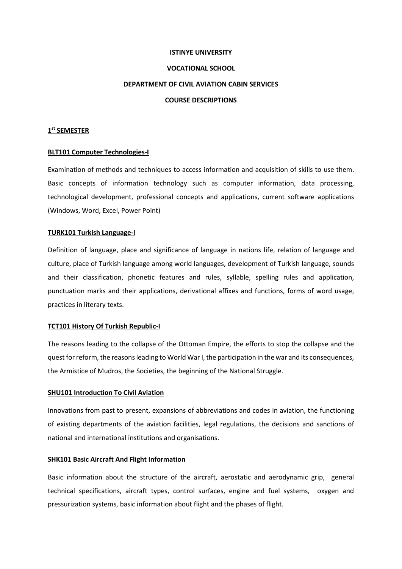#### **ISTINYE UNIVERSITY**

## **VOCATIONAL SCHOOL**

#### **DEPARTMENT OF CIVIL AVIATION CABIN SERVICES**

## **COURSE DESCRIPTIONS**

## **1 st SEMESTER**

## **BLT101 Computer Technologies-I**

Examination of methods and techniques to access information and acquisition of skills to use them. Basic concepts of information technology such as computer information, data processing, technological development, professional concepts and applications, current software applications (Windows, Word, Excel, Power Point)

## **TURK101 Turkish Language-I**

Definition of language, place and significance of language in nations life, relation of language and culture, place of Turkish language among world languages, development of Turkish language, sounds and their classification, phonetic features and rules, syllable, spelling rules and application, punctuation marks and their applications, derivational affixes and functions, forms of word usage, practices in literary texts.

#### **TCT101 History Of Turkish Republic-I**

The reasons leading to the collapse of the Ottoman Empire, the efforts to stop the collapse and the quest for reform, the reasons leading to World War I, the participation in the war and its consequences, the Armistice of Mudros, the Societies, the beginning of the National Struggle.

#### **SHU101 Introduction To Civil Aviation**

Innovations from past to present, expansions of abbreviations and codes in aviation, the functioning of existing departments of the aviation facilities, legal regulations, the decisions and sanctions of national and international institutions and organisations.

#### **SHK101 Basic Aircraft And Flight Information**

Basic information about the structure of the aircraft, aerostatic and aerodynamic grip, general technical specifications, aircraft types, control surfaces, engine and fuel systems, oxygen and pressurization systems, basic information about flight and the phases of flight.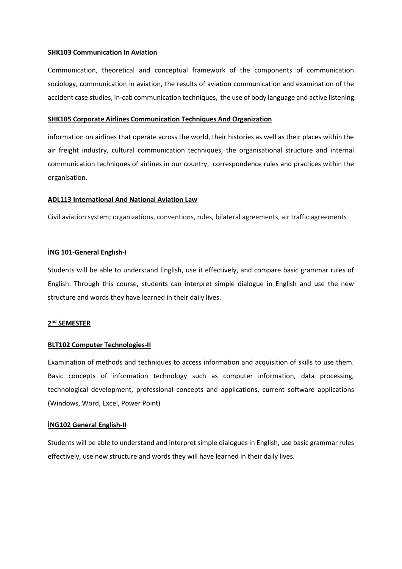#### **SHK103 Communication In Aviation**

Communication, theoretical and conceptual framework of the components of communication sociology, communication in aviation, the results of aviation communication and examination of the accident case studies, in-cab communication techniques, the use of body language and active listening.

#### **SHK105 Corporate Airlines Communication Techniques And Organization**

information on airlines that operate across the world, their histories as well as their places within the air freight industry, cultural communication techniques, the organisational structure and internal communication techniques of airlines in our country, correspondence rules and practices within the organisation.

## **ADL113 International And National Aviation Law**

Civil aviation system; organizations, conventions, rules, bilateral agreements, air traffic agreements

## **İNG 101-General Englısh-I**

Students will be able to understand English, use it effectively, and compare basic grammar rules of English. Through this course, students can interpret simple dialogue in English and use the new structure and words they have learned in their daily lives.

## **2 nd SEMESTER**

## **BLT102 Computer Technologies-II**

Examination of methods and techniques to access information and acquisition of skills to use them. Basic concepts of information technology such as computer information, data processing, technological development, professional concepts and applications, current software applications (Windows, Word, Excel, Power Point)

#### **İNG102 General English-II**

Students will be able to understand and interpret simple dialogues in English, use basic grammar rules effectively, use new structure and words they will have learned in their daily lives.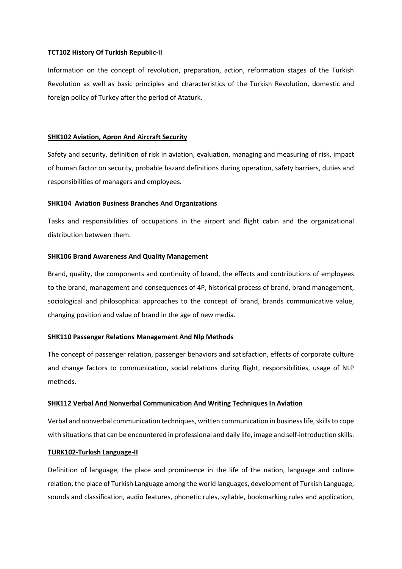## **TCT102 History Of Turkish Republic-II**

Information on the concept of revolution, preparation, action, reformation stages of the Turkish Revolution as well as basic principles and characteristics of the Turkish Revolution, domestic and foreign policy of Turkey after the period of Ataturk.

## **SHK102 Aviation, Apron And Aircraft Security**

Safety and security, definition of risk in aviation, evaluation, managing and measuring of risk, impact of human factor on security, probable hazard definitions during operation, safety barriers, duties and responsibilities of managers and employees.

## **SHK104 Aviation Business Branches And Organizations**

Tasks and responsibilities of occupations in the airport and flight cabin and the organizational distribution between them.

## **SHK106 Brand Awareness And Quality Management**

Brand, quality, the components and continuity of brand, the effects and contributions of employees to the brand, management and consequences of 4P, historical process of brand, brand management, sociological and philosophical approaches to the concept of brand, brands communicative value, changing position and value of brand in the age of new media.

## **SHK110 Passenger Relations Management And Nlp Methods**

The concept of passenger relation, passenger behaviors and satisfaction, effects of corporate culture and change factors to communication, social relations during flight, responsibilities, usage of NLP methods.

#### **SHK112 Verbal And Nonverbal Communication And Writing Techniques In Aviation**

Verbal and nonverbal communication techniques, written communication in business life, skills to cope with situations that can be encountered in professional and daily life, image and self-introduction skills.

#### **TURK102-Turkısh Language-II**

Definition of language, the place and prominence in the life of the nation, language and culture relation, the place of Turkish Language among the world languages, development of Turkish Language, sounds and classification, audio features, phonetic rules, syllable, bookmarking rules and application,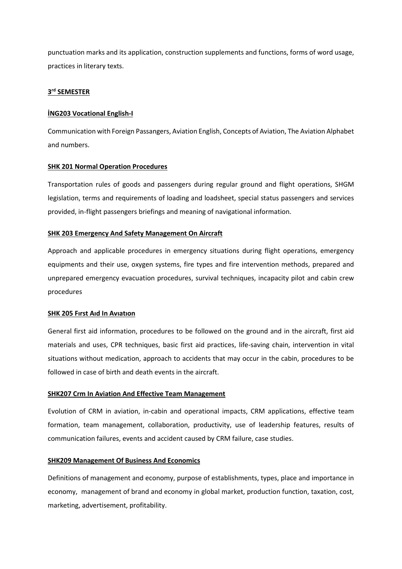punctuation marks and its application, construction supplements and functions, forms of word usage, practices in literary texts.

## **3 rd SEMESTER**

## **İNG203 Vocational English-I**

Communication with Foreign Passangers, Aviation English, Concepts of Aviation, The Aviation Alphabet and numbers.

## **SHK 201 Normal Operation Procedures**

Transportation rules of goods and passengers during regular ground and flight operations, SHGM legislation, terms and requirements of loading and loadsheet, special status passengers and services provided, in-flight passengers briefings and meaning of navigational information.

## **SHK 203 Emergency And Safety Management On Aircraft**

Approach and applicable procedures in emergency situations during flight operations, emergency equipments and their use, oxygen systems, fire types and fire intervention methods, prepared and unprepared emergency evacuation procedures, survival techniques, incapacity pilot and cabin crew procedures

## **SHK 205 Fırst Aıd In Avıatıon**

General first aid information, procedures to be followed on the ground and in the aircraft, first aid materials and uses, CPR techniques, basic first aid practices, life-saving chain, intervention in vital situations without medication, approach to accidents that may occur in the cabin, procedures to be followed in case of birth and death events in the aircraft.

## **SHK207 Crm In Aviation And Effective Team Management**

Evolution of CRM in aviation, in-cabin and operational impacts, CRM applications, effective team formation, team management, collaboration, productivity, use of leadership features, results of communication failures, events and accident caused by CRM failure, case studies.

## **SHK209 Management Of Business And Economics**

Definitions of management and economy, purpose of establishments, types, place and importance in economy, management of brand and economy in global market, production function, taxation, cost, marketing, advertisement, profitability.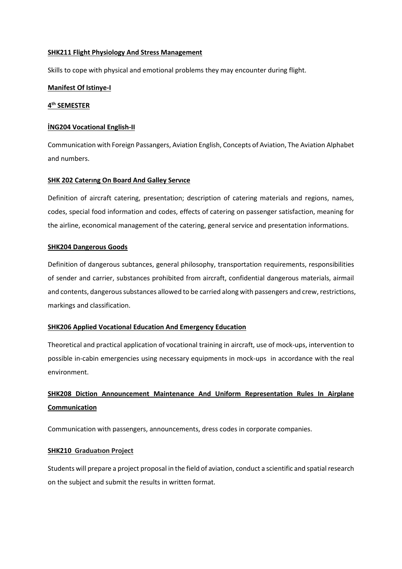## **SHK211 Flight Physiology And Stress Management**

Skills to cope with physical and emotional problems they may encounter during flight.

## **Manifest Of Istinye-I**

## **4 th SEMESTER**

## **İNG204 Vocational English-II**

Communication with Foreign Passangers, Aviation English, Concepts of Aviation, The Aviation Alphabet and numbers.

## **SHK 202 Caterıng On Board And Galley Servıce**

Definition of aircraft catering, presentation; description of catering materials and regions, names, codes, special food information and codes, effects of catering on passenger satisfaction, meaning for the airline, economical management of the catering, general service and presentation informations.

## **SHK204 Dangerous Goods**

Definition of dangerous subtances, general philosophy, transportation requirements, responsibilities of sender and carrier, substances prohibited from aircraft, confidential dangerous materials, airmail and contents, dangerous substances allowed to be carried along with passengers and crew, restrictions, markings and classification.

## **SHK206 Applied Vocational Education And Emergency Education**

Theoretical and practical application of vocational training in aircraft, use of mock-ups, intervention to possible in-cabin emergencies using necessary equipments in mock-ups in accordance with the real environment.

# **SHK208 Diction Announcement Maintenance And Uniform Representation Rules In Airplane Communication**

Communication with passengers, announcements, dress codes in corporate companies.

#### **SHK210 Graduatıon Project**

Students will prepare a project proposal in the field of aviation, conduct a scientific and spatial research on the subject and submit the results in written format.